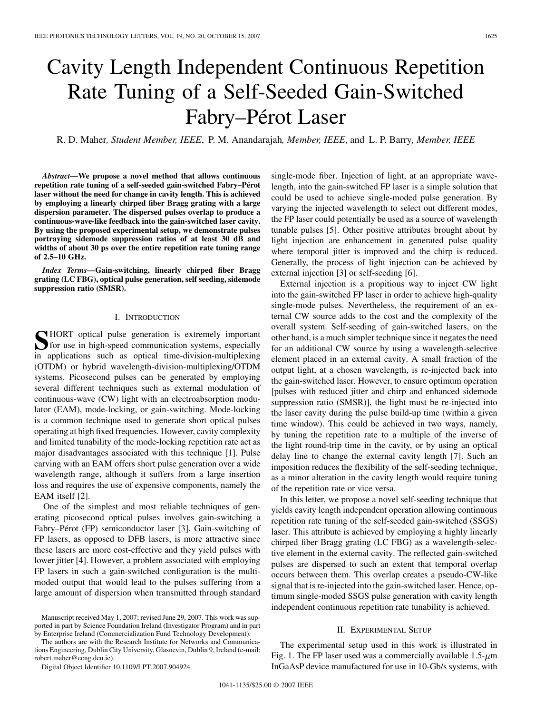# Cavity Length Independent Continuous Repetition Rate Tuning of a Self-Seeded Gain-Switched Fabry–Pérot Laser

R. D. Maher*, Student Member, IEEE*, P. M. Anandarajah*, Member, IEEE*, and L. P. Barry*, Member, IEEE*

*Abstract—***We propose a novel method that allows continuous repetition rate tuning of a self-seeded gain-switched Fabry–Pérot laser without the need for change in cavity length. This is achieved by employing a linearly chirped fiber Bragg grating with a large dispersion parameter. The dispersed pulses overlap to produce a continuous-wave-like feedback into the gain-switched laser cavity. By using the proposed experimental setup, we demonstrate pulses portraying sidemode suppression ratios of at least 30 dB and widths of about 30 ps over the entire repetition rate tuning range of 2.5–10 GHz.**

*Index Terms—***Gain-switching, linearly chirped fiber Bragg grating (LC FBG), optical pulse generation, self seeding, sidemode suppression ratio (SMSR).**

### I. INTRODUCTION

**S**HORT optical pulse generation is extremely important<br>for use in high-speed communication systems, especially<br>in applications, such as optical, time division multiplaying in applications such as optical time-division-multiplexing (OTDM) or hybrid wavelength-division-multiplexing/OTDM systems. Picosecond pulses can be generated by employing several different techniques such as external modulation of continuous-wave (CW) light with an electroabsorption modulator (EAM), mode-locking, or gain-switching. Mode-locking is a common technique used to generate short optical pulses operating at high fixed frequencies. However, cavity complexity and limited tunability of the mode-locking repetition rate act as major disadvantages associated with this technique [1]. Pulse carving with an EAM offers short pulse generation over a wide wavelength range, although it suffers from a large insertion loss and requires the use of expensive components, namely the EAM itself [2].

One of the simplest and most reliable techniques of generating picosecond optical pulses involves gain-switching a Fabry–Pérot (FP) semiconductor laser [3]. Gain-switching of FP lasers, as opposed to DFB lasers, is more attractive since these lasers are more cost-effective and they yield pulses with lower jitter [4]. However, a problem associated with employing FP lasers in such a gain-switched configuration is the multimoded output that would lead to the pulses suffering from a large amount of dispersion when transmitted through standard

The authors are with the Research Institute for Networks and Communications Engineering, Dublin City University, Glasnevin, Dublin 9, Ireland (e-mail: robert.maher@eeng.dcu.ie).

Digital Object Identifier 10.1109/LPT.2007.904924

single-mode fiber. Injection of light, at an appropriate wavelength, into the gain-switched FP laser is a simple solution that could be used to achieve single-moded pulse generation. By varying the injected wavelength to select out different modes, the FP laser could potentially be used as a source of wavelength tunable pulses [5]. Other positive attributes brought about by light injection are enhancement in generated pulse quality where temporal jitter is improved and the chirp is reduced. Generally, the process of light injection can be achieved by external injection [3] or self-seeding [6].

External injection is a propitious way to inject CW light into the gain-switched FP laser in order to achieve high-quality single-mode pulses. Nevertheless, the requirement of an external CW source adds to the cost and the complexity of the overall system. Self-seeding of gain-switched lasers, on the other hand, is a much simpler technique since it negates the need for an additional CW source by using a wavelength-selective element placed in an external cavity. A small fraction of the output light, at a chosen wavelength, is re-injected back into the gain-switched laser. However, to ensure optimum operation [pulses with reduced jitter and chirp and enhanced sidemode suppression ratio (SMSR)], the light must be re-injected into the laser cavity during the pulse build-up time (within a given time window). This could be achieved in two ways, namely, by tuning the repetition rate to a multiple of the inverse of the light round-trip time in the cavity, or by using an optical delay line to change the external cavity length [7]. Such an imposition reduces the flexibility of the self-seeding technique, as a minor alteration in the cavity length would require tuning of the repetition rate or vice versa.

In this letter, we propose a novel self-seeding technique that yields cavity length independent operation allowing continuous repetition rate tuning of the self-seeded gain-switched (SSGS) laser. This attribute is achieved by employing a highly linearly chirped fiber Bragg grating (LC FBG) as a wavelength-selective element in the external cavity. The reflected gain-switched pulses are dispersed to such an extent that temporal overlap occurs between them. This overlap creates a pseudo-CW-like signal that is re-injected into the gain-switched laser. Hence, optimum single-moded SSGS pulse generation with cavity length independent continuous repetition rate tunability is achieved.

## II. EXPERIMENTAL SETUP

The experimental setup used in this work is illustrated in Fig. 1. The FP laser used was a commercially available  $1.5$ - $\mu$ m InGaAsP device manufactured for use in 10-Gb/s systems, with

Manuscript received May 1, 2007; revised June 29, 2007. This work was supported in part by Science Foundation Ireland (Investigator Program) and in part by Enterprise Ireland (Commercialization Fund Technology Development).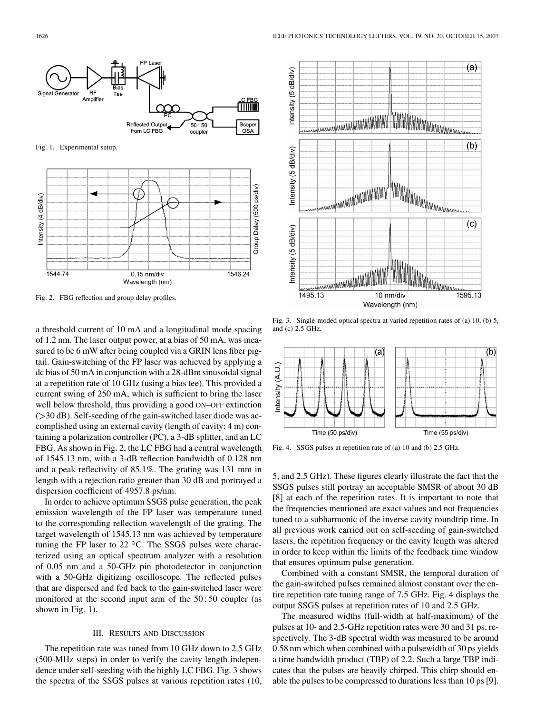

Fig. 1. Experimental setup.



Fig. 2. FBG reflection and group delay profiles.

a threshold current of 10 mA and a longitudinal mode spacing of 1.2 nm. The laser output power, at a bias of 50 mA, was measured to be 6 mW after being coupled via a GRIN lens fiber pigtail. Gain-switching of the FP laser was achieved by applying a dc bias of 50 mA in conjunction with a 28-dBm sinusoidal signal at a repetition rate of 10 GHz (using a bias tee). This provided a current swing of 250 mA, which is sufficient to bring the laser well below threshold, thus providing a good ON–OFF extinction  $($ >30 dB). Self-seeding of the gain-switched laser diode was accomplished using an external cavity (length of cavity: 4 m) containing a polarization controller (PC), a 3-dB splitter, and an LC FBG. As shown in Fig. 2, the LC FBG had a central wavelength of 1545.13 nm, with a 3-dB reflection bandwidth of 0.128 nm and a peak reflectivity of 85.1%. The grating was 131 mm in length with a rejection ratio greater than 30 dB and portrayed a dispersion coefficient of 4957.8 ps/nm.

In order to achieve optimum SSGS pulse generation, the peak emission wavelength of the FP laser was temperature tuned to the corresponding reflection wavelength of the grating. The target wavelength of 1545.13 nm was achieved by temperature tuning the FP laser to 22  $\degree$ C. The SSGS pulses were characterized using an optical spectrum analyzer with a resolution of 0.05 nm and a 50-GHz pin photodetector in conjunction with a 50-GHz digitizing oscilloscope. The reflected pulses that are dispersed and fed back to the gain-switched laser were monitored at the second input arm of the  $50:50$  coupler (as shown in Fig. 1).

#### III. RESULTS AND DISCUSSION

The repetition rate was tuned from 10 GHz down to 2.5 GHz (500-MHz steps) in order to verify the cavity length independence under self-seeding with the highly LC FBG. Fig. 3 shows the spectra of the SSGS pulses at various repetition rates (10,



Fig. 3. Single-moded optical spectra at varied repetition rates of (a) 10, (b) 5, and (c) 2.5 GHz.



Fig. 4. SSGS pulses at repetition rate of (a) 10 and (b) 2.5 GHz.

5, and 2.5 GHz). These figures clearly illustrate the fact that the SSGS pulses still portray an acceptable SMSR of about 30 dB [8] at each of the repetition rates. It is important to note that the frequencies mentioned are exact values and not frequencies tuned to a subharmonic of the inverse cavity roundtrip time. In all previous work carried out on self-seeding of gain-switched lasers, the repetition frequency or the cavity length was altered in order to keep within the limits of the feedback time window that ensures optimum pulse generation.

Combined with a constant SMSR, the temporal duration of the gain-switched pulses remained almost constant over the entire repetition rate tuning range of 7.5 GHz. Fig. 4 displays the output SSGS pulses at repetition rates of 10 and 2.5 GHz.

The measured widths (full-width at half-maximum) of the pulses at 10- and 2.5-GHz repetition rates were 30 and 31 ps, respectively. The 3-dB spectral width was measured to be around 0.58 nm which when combined with a pulsewidth of 30 ps yields a time bandwidth product (TBP) of 2.2. Such a large TBP indicates that the pulses are heavily chirped. This chirp should enable the pulses to be compressed to durations less than 10 ps [9].